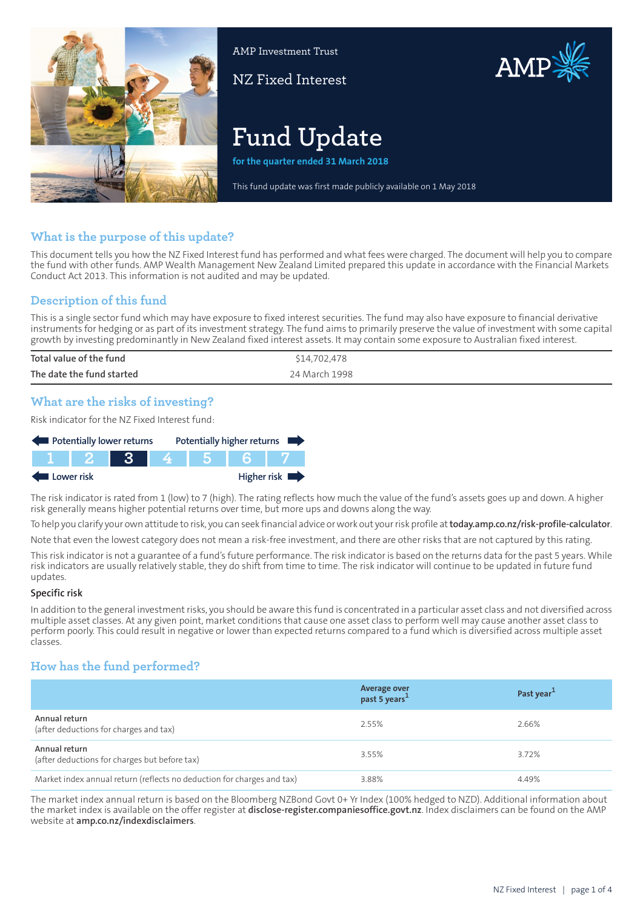

AMP Investment Trust

NZ Fixed Interest



# **Fund Update**

**for the quarter ended 31 March 2018**

This fund update was first made publicly available on 1 May 2018

# **What is the purpose of this update?**

This document tells you how the NZ Fixed Interest fund has performed and what fees were charged. The document will help you to compare the fund with other funds. AMP Wealth Management New Zealand Limited prepared this update in accordance with the Financial Markets Conduct Act 2013. This information is not audited and may be updated.

# **Description of this fund**

This is a single sector fund which may have exposure to fixed interest securities. The fund may also have exposure to financial derivative instruments for hedging or as part of its investment strategy. The fund aims to primarily preserve the value of investment with some capital growth by investing predominantly in New Zealand fixed interest assets. It may contain some exposure to Australian fixed interest.

| Total value of the fund   | \$14,702,478  |
|---------------------------|---------------|
| The date the fund started | 24 March 1998 |

# **What are the risks of investing?**

Risk indicator for the NZ Fixed Interest fund:



The risk indicator is rated from 1 (low) to 7 (high). The rating reflects how much the value of the fund's assets goes up and down. A higher risk generally means higher potential returns over time, but more ups and downs along the way.

To help you clarify your own attitude to risk, you can seek financial advice orwork out yourrisk profile at**[today.amp.co.nz/risk-profile-calculator](http://today.amp.co.nz/risk-profile-calculator)**.

Note that even the lowest category does not mean a risk-free investment, and there are other risks that are not captured by this rating.

This risk indicator is not a guarantee of a fund's future performance. The risk indicator is based on the returns data for the past 5 years. While risk indicators are usually relatively stable, they do shift from time to time. The risk indicator will continue to be updated in future fund updates.

#### **Specific risk**

In addition to the general investmentrisks, you should be aware this fund is concentrated in a particular asset class and not diversified across multiple asset classes. At any given point, market conditions that cause one asset class to perform well may cause another asset class to perform poorly. This could result in negative or lower than expected returns compared to a fund which is diversified across multiple asset classes.

# **How has the fund performed?**

|                                                                        | Average over<br>past 5 years <sup>1</sup> | Past year <sup>1</sup> |
|------------------------------------------------------------------------|-------------------------------------------|------------------------|
| Annual return<br>(after deductions for charges and tax)                | 2.55%                                     | 2.66%                  |
| Annual return<br>(after deductions for charges but before tax)         | 3.55%                                     | 3.72%                  |
| Market index annual return (reflects no deduction for charges and tax) | 3.88%                                     | 4.49%                  |

The market index annual return is based on the Bloomberg NZBond Govt 0+ Yr Index (100% hedged to NZD). Additional information about the market index is available on the offer register at **[disclose-register.companiesoffice.govt.nz](https://disclose-register.companiesoffice.govt.nz/)**. Index disclaimers can be found on the AMP website at **[amp.co.nz/indexdisclaimers](http://amp.co.nz/indexdisclaimers)**.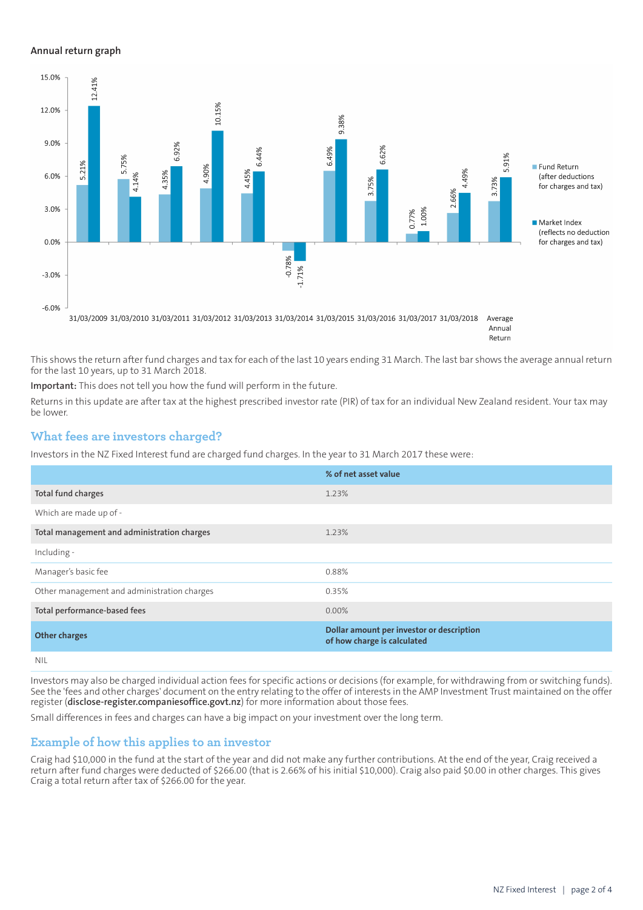## **Annual return graph**



Annual Return

This shows the return after fund charges and tax for each of the last 10 years ending 31 March. The last bar shows the average annual return for the last 10 years, up to 31 March 2018.

**Important:** This does not tell you how the fund will perform in the future.

Returns in this update are after tax at the highest prescribed investor rate (PIR) of tax for an individual New Zealand resident. Your tax may be lower.

## **What fees are investors charged?**

Investors in the NZ Fixed Interest fund are charged fund charges. In the year to 31 March 2017 these were:

|                                             | % of net asset value                                                     |
|---------------------------------------------|--------------------------------------------------------------------------|
| Total fund charges                          | 1.23%                                                                    |
| Which are made up of -                      |                                                                          |
| Total management and administration charges | 1.23%                                                                    |
| Including -                                 |                                                                          |
| Manager's basic fee                         | 0.88%                                                                    |
| Other management and administration charges | 0.35%                                                                    |
| Total performance-based fees                | $0.00\%$                                                                 |
| <b>Other charges</b>                        | Dollar amount per investor or description<br>of how charge is calculated |
| NII                                         |                                                                          |

Investors may also be charged individual action fees for specific actions or decisions (for example, for withdrawing from or switching funds). See the 'fees and other charges' document on the entry relating to the offer of interests in the AMP Investment Trust maintained on the offer register (**[disclose-register.companiesoffice.govt.nz](https://disclose-register.companiesoffice.govt.nz/)**) for more information about those fees.

Small differences in fees and charges can have a big impact on your investment over the long term.

## **Example of how this applies to an investor**

Craig had \$10,000 in the fund at the start of the year and did not make any further contributions. At the end of the year, Craig received a return after fund charges were deducted of \$266.00 (that is 2.66% of his initial \$10,000). Craig also paid \$0.00 in other charges. This gives Craig a total return after tax of \$266.00 for the year.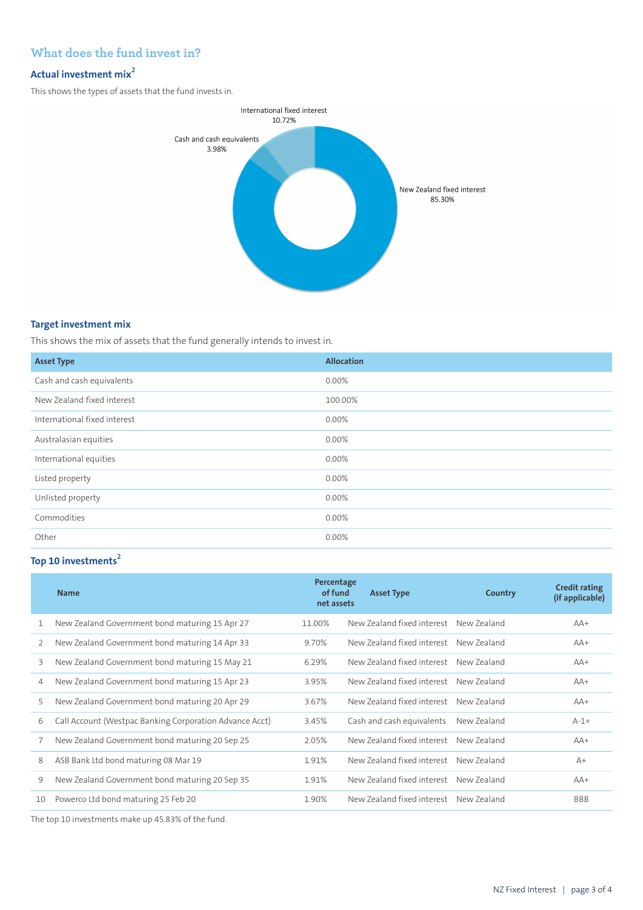# **What does the fund invest in?**

## **Actual investment mix<sup>2</sup>**

This shows the types of assets that the fund invests in.



## **Target investment mix**

This shows the mix of assets that the fund generally intends to invest in.

| <b>Asset Type</b>            | <b>Allocation</b> |
|------------------------------|-------------------|
| Cash and cash equivalents    | 0.00%             |
| New Zealand fixed interest   | 100.00%           |
| International fixed interest | $0.00\%$          |
| Australasian equities        | 0.00%             |
| International equities       | 0.00%             |
| Listed property              | 0.00%             |
| Unlisted property            | $0.00\%$          |
| Commodities                  | 0.00%             |
| Other                        | 0.00%             |

## **Top 10 investments<sup>2</sup>**

|    | <b>Name</b>                                             | Percentage<br>of fund<br>net assets | <b>Asset Type</b>          | Country     | <b>Credit rating</b><br>(if applicable) |
|----|---------------------------------------------------------|-------------------------------------|----------------------------|-------------|-----------------------------------------|
|    | New Zealand Government bond maturing 15 Apr 27          | 11.00%                              | New Zealand fixed interest | New Zealand | $AA+$                                   |
| 2  | New Zealand Government bond maturing 14 Apr 33          | 9.70%                               | New Zealand fixed interest | New Zealand | $AA+$                                   |
| 3  | New Zealand Government bond maturing 15 May 21          | 6.29%                               | New Zealand fixed interest | New 7ealand | $AA+$                                   |
| 4  | New Zealand Government bond maturing 15 Apr 23          | 3.95%                               | New Zealand fixed interest | New 7ealand | $AA+$                                   |
| 5  | New Zealand Government bond maturing 20 Apr 29          | 3.67%                               | New Zealand fixed interest | New Zealand | $AA+$                                   |
| 6  | Call Account (Westpac Banking Corporation Advance Acct) | 3.45%                               | Cash and cash equivalents  | New Zealand | $A-1+$                                  |
|    | New Zealand Government bond maturing 20 Sep 25          | 2.05%                               | New Zealand fixed interest | New Zealand | $AA+$                                   |
| 8  | ASB Bank Ltd bond maturing 08 Mar 19                    | 1.91%                               | New Zealand fixed interest | New Zealand | $A+$                                    |
| 9  | New Zealand Government bond maturing 20 Sep 35          | 1.91%                               | New Zealand fixed interest | New Zealand | $AA+$                                   |
| 10 | Powerco Ltd bond maturing 25 Feb 20                     | 1.90%                               | New Zealand fixed interest | New Zealand | <b>BBB</b>                              |

The top 10 investments make up 45.83% of the fund.